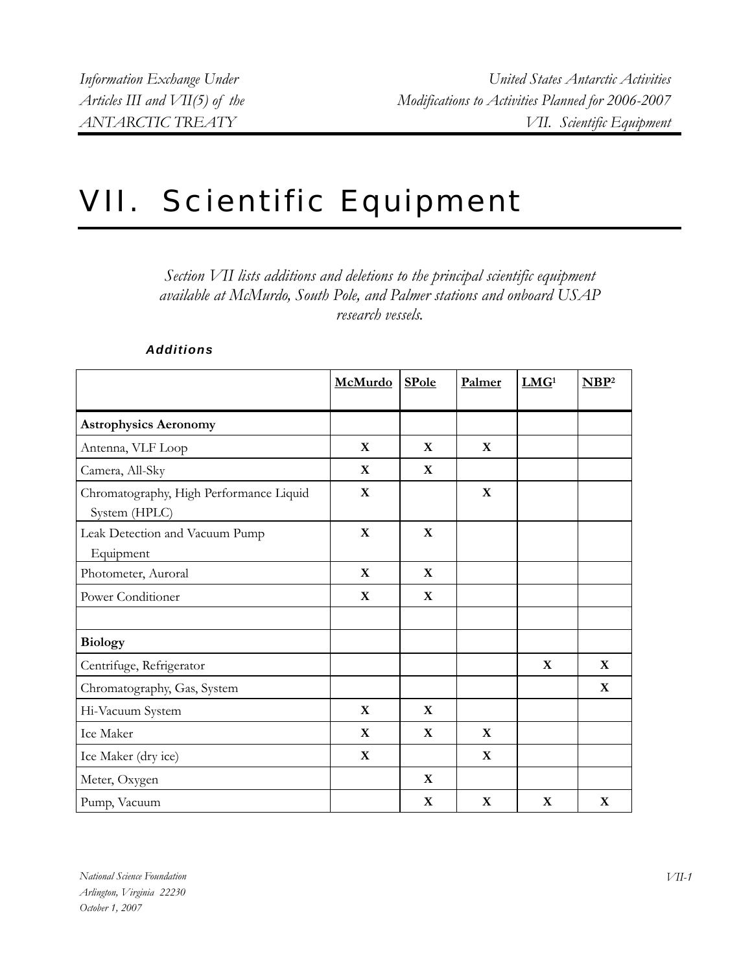## VII. Scientific Equipment

*Section VII lists additions and deletions to the principal scientific equipment available at McMurdo, South Pole, and Palmer stations and onboard USAP research vessels.* 

|                                                          | <b>McMurdo</b> | <b>SPole</b> | Palmer       | LMG <sup>1</sup> | NBP <sup>2</sup> |
|----------------------------------------------------------|----------------|--------------|--------------|------------------|------------------|
| <b>Astrophysics Aeronomy</b>                             |                |              |              |                  |                  |
| Antenna, VLF Loop                                        | $\mathbf{X}$   | $\mathbf{X}$ | $\mathbf{X}$ |                  |                  |
| Camera, All-Sky                                          | $\mathbf{X}$   | $\mathbf{X}$ |              |                  |                  |
| Chromatography, High Performance Liquid<br>System (HPLC) | $\mathbf{X}$   |              | $\mathbf{X}$ |                  |                  |
| Leak Detection and Vacuum Pump<br>Equipment              | X              | $\mathbf{X}$ |              |                  |                  |
| Photometer, Auroral                                      | $\mathbf{X}$   | $\mathbf{X}$ |              |                  |                  |
| Power Conditioner                                        | $\mathbf{X}$   | $\mathbf{X}$ |              |                  |                  |
| <b>Biology</b>                                           |                |              |              |                  |                  |
| Centrifuge, Refrigerator                                 |                |              |              | $\mathbf X$      | X                |
| Chromatography, Gas, System                              |                |              |              |                  | X                |
| Hi-Vacuum System                                         | X              | $\mathbf X$  |              |                  |                  |
| Ice Maker                                                | X              | $\mathbf{X}$ | $\mathbf{X}$ |                  |                  |
| Ice Maker (dry ice)                                      | X              |              | $\mathbf{X}$ |                  |                  |
| Meter, Oxygen                                            |                | $\mathbf{X}$ |              |                  |                  |
| Pump, Vacuum                                             |                | $\mathbf X$  | X            | $\mathbf{X}$     | $\mathbf X$      |

## *Additions*

*National Science Foundation Arlington, Virginia 22230 October 1, 2007*